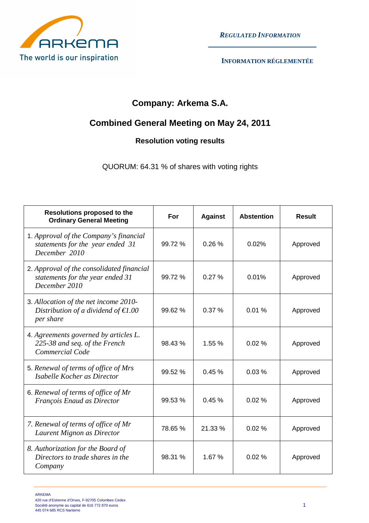

 *REGULATED INFORMATION*

## **Company: Arkema S.A.**

## **Combined General Meeting on May 24, 2011**

## **Resolution voting results**

QUORUM: 64.31 % of shares with voting rights

| <b>Resolutions proposed to the</b><br><b>Ordinary General Meeting</b>                               | For     | <b>Against</b> | <b>Abstention</b> | <b>Result</b> |
|-----------------------------------------------------------------------------------------------------|---------|----------------|-------------------|---------------|
| 1. Approval of the Company's financial<br>statements for the year ended 31<br>December 2010         | 99.72%  | 0.26%          | 0.02%             | Approved      |
| 2. Approval of the consolidated financial<br>statements for the year ended 31<br>December 2010      | 99.72 % | 0.27%          | 0.01%             | Approved      |
| 3. Allocation of the net income 2010-<br>Distribution of a dividend of $\epsilon 1.00$<br>per share | 99.62%  | 0.37%          | 0.01%             | Approved      |
| 4. Agreements governed by articles L.<br>225-38 and seq. of the French<br>Commercial Code           | 98.43%  | 1.55 %         | 0.02%             | Approved      |
| 5. Renewal of terms of office of Mrs<br>Isabelle Kocher as Director                                 | 99.52 % | 0.45%          | 0.03%             | Approved      |
| 6. Renewal of terms of office of Mr<br>François Enaud as Director                                   | 99.53 % | 0.45%          | 0.02%             | Approved      |
| 7. Renewal of terms of office of Mr<br>Laurent Mignon as Director                                   | 78.65 % | 21.33 %        | 0.02%             | Approved      |
| 8. Authorization for the Board of<br>Directors to trade shares in the<br>Company                    | 98.31 % | 1.67%          | 0.02%             | Approved      |